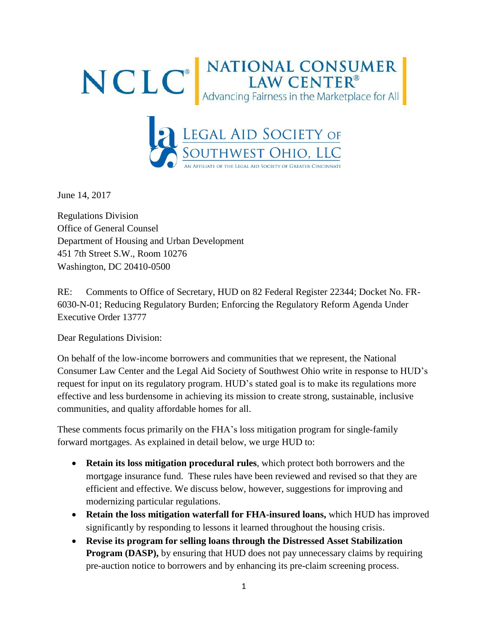



June 14, 2017

Regulations Division Office of General Counsel Department of Housing and Urban Development 451 7th Street S.W., Room 10276 Washington, DC 20410-0500

RE: Comments to Office of Secretary, HUD on 82 Federal Register 22344; Docket No. FR-6030-N-01; Reducing Regulatory Burden; Enforcing the Regulatory Reform Agenda Under Executive Order 13777

Dear Regulations Division:

On behalf of the low-income borrowers and communities that we represent, the National Consumer Law Center and the Legal Aid Society of Southwest Ohio write in response to HUD's request for input on its regulatory program. HUD's stated goal is to make its regulations more effective and less burdensome in achieving its mission to create strong, sustainable, inclusive communities, and quality affordable homes for all.

These comments focus primarily on the FHA's loss mitigation program for single-family forward mortgages. As explained in detail below, we urge HUD to:

- **Retain its loss mitigation procedural rules**, which protect both borrowers and the mortgage insurance fund. These rules have been reviewed and revised so that they are efficient and effective. We discuss below, however, suggestions for improving and modernizing particular regulations.
- **Retain the loss mitigation waterfall for FHA-insured loans,** which HUD has improved significantly by responding to lessons it learned throughout the housing crisis.
- **Revise its program for selling loans through the Distressed Asset Stabilization Program (DASP),** by ensuring that HUD does not pay unnecessary claims by requiring pre-auction notice to borrowers and by enhancing its pre-claim screening process.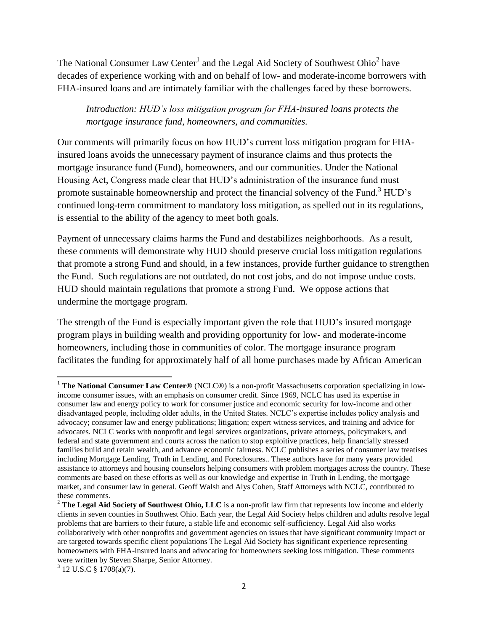The National Consumer Law Center<sup>1</sup> and the Legal Aid Society of Southwest Ohio<sup>2</sup> have decades of experience working with and on behalf of low- and moderate-income borrowers with FHA-insured loans and are intimately familiar with the challenges faced by these borrowers.

*Introduction: HUD's loss mitigation program for FHA-insured loans protects the mortgage insurance fund, homeowners, and communities.*

Our comments will primarily focus on how HUD's current loss mitigation program for FHAinsured loans avoids the unnecessary payment of insurance claims and thus protects the mortgage insurance fund (Fund), homeowners, and our communities. Under the National Housing Act, Congress made clear that HUD's administration of the insurance fund must promote sustainable homeownership and protect the financial solvency of the Fund.<sup>3</sup> HUD's continued long-term commitment to mandatory loss mitigation, as spelled out in its regulations, is essential to the ability of the agency to meet both goals.

Payment of unnecessary claims harms the Fund and destabilizes neighborhoods. As a result, these comments will demonstrate why HUD should preserve crucial loss mitigation regulations that promote a strong Fund and should, in a few instances, provide further guidance to strengthen the Fund. Such regulations are not outdated, do not cost jobs, and do not impose undue costs. HUD should maintain regulations that promote a strong Fund. We oppose actions that undermine the mortgage program.

The strength of the Fund is especially important given the role that HUD's insured mortgage program plays in building wealth and providing opportunity for low- and moderate-income homeowners, including those in communities of color. The mortgage insurance program facilitates the funding for approximately half of all home purchases made by African American

l <sup>1</sup> The National Consumer Law Center® (NCLC®) is a non-profit Massachusetts corporation specializing in lowincome consumer issues, with an emphasis on consumer credit. Since 1969, NCLC has used its expertise in consumer law and energy policy to work for consumer justice and economic security for low-income and other disadvantaged people, including older adults, in the United States. NCLC's expertise includes policy analysis and advocacy; consumer law and energy publications; litigation; expert witness services, and training and advice for advocates. NCLC works with nonprofit and legal services organizations, private attorneys, policymakers, and federal and state government and courts across the nation to stop exploitive practices, help financially stressed families build and retain wealth, and advance economic fairness. NCLC publishes a series of consumer law treatises including Mortgage Lending, Truth in Lending, and Foreclosures.. These authors have for many years provided assistance to attorneys and housing counselors helping consumers with problem mortgages across the country. These comments are based on these efforts as well as our knowledge and expertise in Truth in Lending, the mortgage market, and consumer law in general. Geoff Walsh and Alys Cohen, Staff Attorneys with NCLC, contributed to these comments.

<sup>&</sup>lt;sup>2</sup> **The Legal Aid Society of Southwest Ohio, LLC** is a non-profit law firm that represents low income and elderly clients in seven counties in Southwest Ohio. Each year, the Legal Aid Society helps children and adults resolve legal problems that are barriers to their future, a stable life and economic self-sufficiency. Legal Aid also works collaboratively with other nonprofits and government agencies on issues that have significant community impact or are targeted towards specific client populations The Legal Aid Society has significant experience representing homeowners with FHA-insured loans and advocating for homeowners seeking loss mitigation. These comments were written by Steven Sharpe, Senior Attorney.

 $3$  12 U.S.C § 1708(a)(7).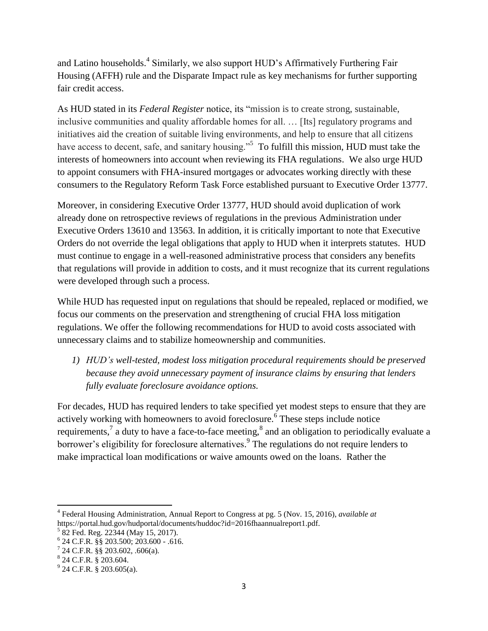and Latino households.<sup>4</sup> Similarly, we also support HUD's Affirmatively Furthering Fair Housing (AFFH) rule and the Disparate Impact rule as key mechanisms for further supporting fair credit access.

As HUD stated in its *Federal Register* notice, its "mission is to create strong, sustainable, inclusive communities and quality affordable homes for all. … [Its] regulatory programs and initiatives aid the creation of suitable living environments, and help to ensure that all citizens have access to decent, safe, and sanitary housing."<sup>5</sup> To fulfill this mission, HUD must take the interests of homeowners into account when reviewing its FHA regulations. We also urge HUD to appoint consumers with FHA-insured mortgages or advocates working directly with these consumers to the Regulatory Reform Task Force established pursuant to Executive Order 13777.

Moreover, in considering Executive Order 13777, HUD should avoid duplication of work already done on retrospective reviews of regulations in the previous Administration under Executive Orders 13610 and 13563. In addition, it is critically important to note that Executive Orders do not override the legal obligations that apply to HUD when it interprets statutes. HUD must continue to engage in a well-reasoned administrative process that considers any benefits that regulations will provide in addition to costs, and it must recognize that its current regulations were developed through such a process.

While HUD has requested input on regulations that should be repealed, replaced or modified, we focus our comments on the preservation and strengthening of crucial FHA loss mitigation regulations. We offer the following recommendations for HUD to avoid costs associated with unnecessary claims and to stabilize homeownership and communities.

*1) HUD's well-tested, modest loss mitigation procedural requirements should be preserved because they avoid unnecessary payment of insurance claims by ensuring that lenders fully evaluate foreclosure avoidance options.*

For decades, HUD has required lenders to take specified yet modest steps to ensure that they are actively working with homeowners to avoid foreclosure. 6 These steps include notice requirements,<sup>7</sup> a duty to have a face-to-face meeting,<sup>8</sup> and an obligation to periodically evaluate a borrower's eligibility for foreclosure alternatives.<sup>9</sup> The regulations do not require lenders to make impractical loan modifications or waive amounts owed on the loans. Rather the

<sup>4</sup> Federal Housing Administration, Annual Report to Congress at pg. 5 (Nov. 15, 2016), *available at* https://portal.hud.gov/hudportal/documents/huddoc?id=2016fhaannualreport1.pdf.

<sup>&</sup>lt;sup>5</sup> 82 Fed. Reg. 22344 (May 15, 2017).

<sup>6</sup> 24 C.F.R. §§ 203.500; 203.600 - .616.

 $7$  24 C.F.R. §§ 203.602, .606(a).

 $824$  C.F.R. § 203.604.

 $^{9}$  24 C.F.R. § 203.605(a).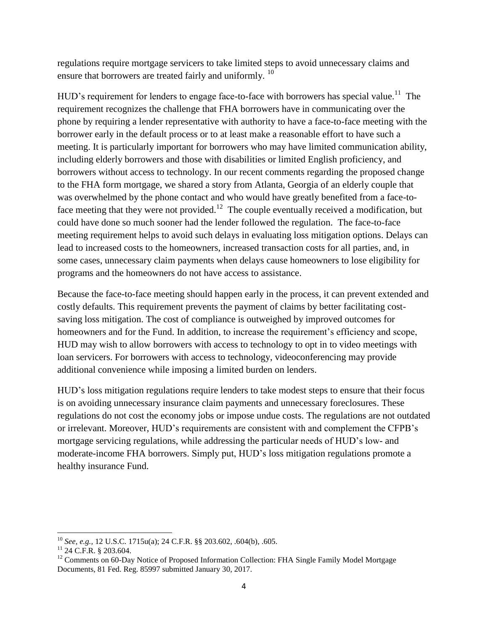regulations require mortgage servicers to take limited steps to avoid unnecessary claims and ensure that borrowers are treated fairly and uniformly.<sup>10</sup>

HUD's requirement for lenders to engage face-to-face with borrowers has special value.<sup>11</sup> The requirement recognizes the challenge that FHA borrowers have in communicating over the phone by requiring a lender representative with authority to have a face-to-face meeting with the borrower early in the default process or to at least make a reasonable effort to have such a meeting. It is particularly important for borrowers who may have limited communication ability, including elderly borrowers and those with disabilities or limited English proficiency, and borrowers without access to technology. In our recent comments regarding the proposed change to the FHA form mortgage, we shared a story from Atlanta, Georgia of an elderly couple that was overwhelmed by the phone contact and who would have greatly benefited from a face-toface meeting that they were not provided.<sup>12</sup> The couple eventually received a modification, but could have done so much sooner had the lender followed the regulation. The face-to-face meeting requirement helps to avoid such delays in evaluating loss mitigation options. Delays can lead to increased costs to the homeowners, increased transaction costs for all parties, and, in some cases, unnecessary claim payments when delays cause homeowners to lose eligibility for programs and the homeowners do not have access to assistance.

Because the face-to-face meeting should happen early in the process, it can prevent extended and costly defaults. This requirement prevents the payment of claims by better facilitating costsaving loss mitigation. The cost of compliance is outweighed by improved outcomes for homeowners and for the Fund. In addition, to increase the requirement's efficiency and scope, HUD may wish to allow borrowers with access to technology to opt in to video meetings with loan servicers. For borrowers with access to technology, videoconferencing may provide additional convenience while imposing a limited burden on lenders.

HUD's loss mitigation regulations require lenders to take modest steps to ensure that their focus is on avoiding unnecessary insurance claim payments and unnecessary foreclosures. These regulations do not cost the economy jobs or impose undue costs. The regulations are not outdated or irrelevant. Moreover, HUD's requirements are consistent with and complement the CFPB's mortgage servicing regulations, while addressing the particular needs of HUD's low- and moderate-income FHA borrowers. Simply put, HUD's loss mitigation regulations promote a healthy insurance Fund.

<sup>10</sup> *See, e.g.,* 12 U.S.C. 1715u(a); 24 C.F.R. §§ 203.602, .604(b), .605.

 $11$  24 C.F.R. § 203.604.

<sup>&</sup>lt;sup>12</sup> Comments on 60-Day Notice of Proposed Information Collection: FHA Single Family Model Mortgage Documents, 81 Fed. Reg. 85997 submitted January 30, 2017.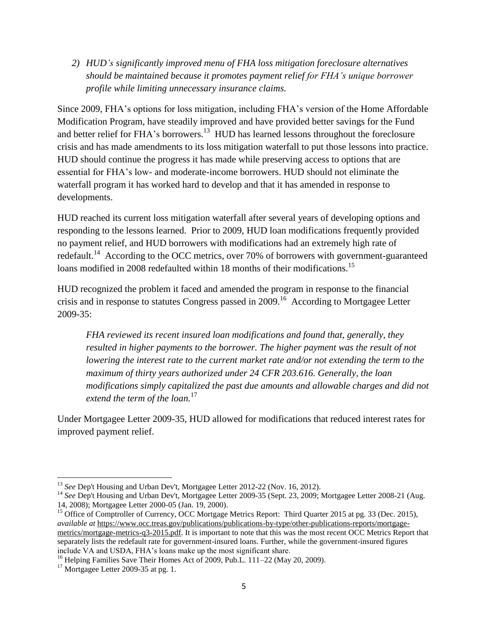*2) HUD's significantly improved menu of FHA loss mitigation foreclosure alternatives should be maintained because it promotes payment relief for FHA's unique borrower profile while limiting unnecessary insurance claims.*

Since 2009, FHA's options for loss mitigation, including FHA's version of the Home Affordable Modification Program, have steadily improved and have provided better savings for the Fund and better relief for FHA's borrowers.<sup>13</sup> HUD has learned lessons throughout the foreclosure crisis and has made amendments to its loss mitigation waterfall to put those lessons into practice. HUD should continue the progress it has made while preserving access to options that are essential for FHA's low- and moderate-income borrowers. HUD should not eliminate the waterfall program it has worked hard to develop and that it has amended in response to developments.

HUD reached its current loss mitigation waterfall after several years of developing options and responding to the lessons learned. Prior to 2009, HUD loan modifications frequently provided no payment relief, and HUD borrowers with modifications had an extremely high rate of redefault.<sup>14</sup> According to the OCC metrics, over 70% of borrowers with government-guaranteed loans modified in 2008 redefaulted within 18 months of their modifications.<sup>15</sup>

HUD recognized the problem it faced and amended the program in response to the financial crisis and in response to statutes Congress passed in 2009.<sup>16</sup> According to Mortgagee Letter 2009-35:

*FHA reviewed its recent insured loan modifications and found that, generally, they resulted in higher payments to the borrower. The higher payment was the result of not lowering the interest rate to the current market rate and/or not extending the term to the maximum of thirty years authorized under 24 CFR 203.616. Generally, the loan modifications simply capitalized the past due amounts and allowable charges and did not extend the term of the loan.*<sup>17</sup>

Under Mortgagee Letter 2009-35, HUD allowed for modifications that reduced interest rates for improved payment relief.

<sup>&</sup>lt;sup>13</sup> *See* Dep't Housing and Urban Dev't, Mortgagee Letter 2012-22 (Nov. 16, 2012).

<sup>&</sup>lt;sup>14</sup> See Dep't Housing and Urban Dev't, Mortgagee Letter 2009-35 (Sept. 23, 2009; Mortgagee Letter 2008-21 (Aug. 14, 2008); Mortgagee Letter 2000-05 (Jan. 19, 2000).

<sup>&</sup>lt;sup>15</sup> Office of Comptroller of Currency, OCC Mortgage Metrics Report: Third Quarter 2015 at pg. 33 (Dec. 2015), *available at* [https://www.occ.treas.gov/publications/publications-by-type/other-publications-reports/mortgage](https://www.occ.treas.gov/publications/publications-by-type/other-publications-reports/mortgage-metrics/mortgage-metrics-q3-2015.pdf)[metrics/mortgage-metrics-q3-2015.pdf.](https://www.occ.treas.gov/publications/publications-by-type/other-publications-reports/mortgage-metrics/mortgage-metrics-q3-2015.pdf) It is important to note that this was the most recent OCC Metrics Report that separately lists the redefault rate for government-insured loans. Further, while the government-insured figures include VA and USDA, FHA's loans make up the most significant share.

<sup>&</sup>lt;sup>16</sup> Helping Families Save Their Homes Act of 2009, Pub.L. 111–22 (May 20, 2009).

 $17$  Mortgagee Letter 2009-35 at pg. 1.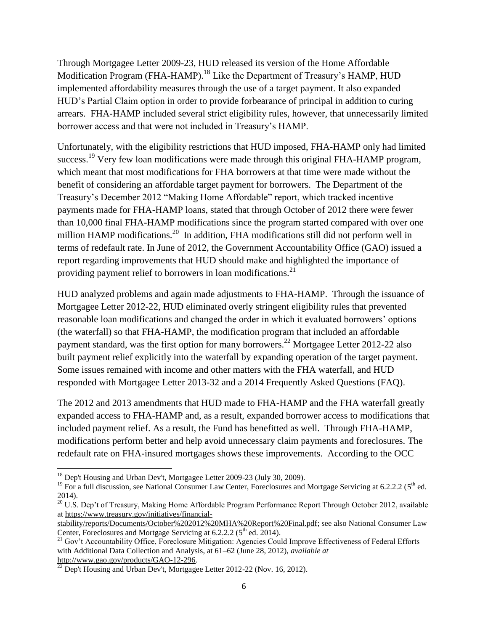Through Mortgagee Letter 2009-23, HUD released its version of the Home Affordable Modification Program (FHA-HAMP).<sup>18</sup> Like the Department of Treasury's HAMP, HUD implemented affordability measures through the use of a target payment. It also expanded HUD's Partial Claim option in order to provide forbearance of principal in addition to curing arrears. FHA-HAMP included several strict eligibility rules, however, that unnecessarily limited borrower access and that were not included in Treasury's HAMP.

Unfortunately, with the eligibility restrictions that HUD imposed, FHA-HAMP only had limited success.<sup>19</sup> Very few loan modifications were made through this original FHA-HAMP program, which meant that most modifications for FHA borrowers at that time were made without the benefit of considering an affordable target payment for borrowers. The Department of the Treasury's December 2012 "Making Home Affordable" report, which tracked incentive payments made for FHA-HAMP loans, stated that through October of 2012 there were fewer than 10,000 final FHA-HAMP modifications since the program started compared with over one million HAMP modifications.<sup>20</sup> In addition, FHA modifications still did not perform well in terms of redefault rate. In June of 2012, the Government Accountability Office (GAO) issued a report regarding improvements that HUD should make and highlighted the importance of providing payment relief to borrowers in loan modifications.<sup>21</sup>

HUD analyzed problems and again made adjustments to FHA-HAMP. Through the issuance of Mortgagee Letter 2012-22, HUD eliminated overly stringent eligibility rules that prevented reasonable loan modifications and changed the order in which it evaluated borrowers' options (the waterfall) so that FHA-HAMP, the modification program that included an affordable payment standard, was the first option for many borrowers.<sup>22</sup> Mortgagee Letter 2012-22 also built payment relief explicitly into the waterfall by expanding operation of the target payment. Some issues remained with income and other matters with the FHA waterfall, and HUD responded with Mortgagee Letter 2013-32 and a 2014 Frequently Asked Questions (FAQ).

The 2012 and 2013 amendments that HUD made to FHA-HAMP and the FHA waterfall greatly expanded access to FHA-HAMP and, as a result, expanded borrower access to modifications that included payment relief. As a result, the Fund has benefitted as well. Through FHA-HAMP, modifications perform better and help avoid unnecessary claim payments and foreclosures. The redefault rate on FHA-insured mortgages shows these improvements. According to the OCC

 $\overline{\phantom{a}}$ <sup>18</sup> Dep't Housing and Urban Dev't, Mortgagee Letter 2009-23 (July 30, 2009).

<sup>&</sup>lt;sup>19</sup> For a full discussion, see National Consumer Law Center, Foreclosures and Mortgage Servicing at 6.2.2.2 ( $5<sup>th</sup>$  ed. 2014).

<sup>&</sup>lt;sup>20</sup> U.S. Dep't of Treasury, Making Home Affordable Program Performance Report Through October 2012, available a[t https://www.treasury.gov/initiatives/financial-](https://www.treasury.gov/initiatives/financial-stability/reports/Documents/October%202012%20MHA%20Report%20Final.pdf)

[stability/reports/Documents/October%202012%20MHA%20Report%20Final.pdf;](https://www.treasury.gov/initiatives/financial-stability/reports/Documents/October%202012%20MHA%20Report%20Final.pdf) see also National Consumer Law Center, Foreclosures and Mortgage Servicing at 6.2.2.2 (5<sup>th</sup> ed. 2014).

<sup>&</sup>lt;sup>21</sup> Gov't Accountability Office, Foreclosure Mitigation: Agencies Could Improve Effectiveness of Federal Efforts with Additional Data Collection and Analysis, at 61–62 (June 28, 2012), *available at* http://www.gao.gov/products/GAO-12-296.

 $^{22}$  Dep't Housing and Urban Dev't, Mortgagee Letter 2012-22 (Nov. 16, 2012).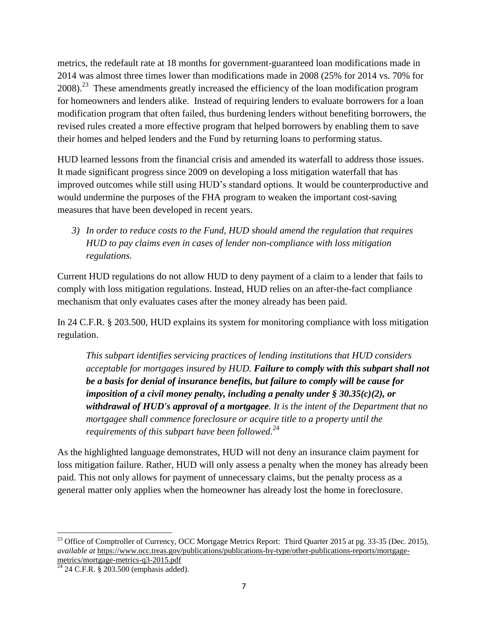metrics, the redefault rate at 18 months for government-guaranteed loan modifications made in 2014 was almost three times lower than modifications made in 2008 (25% for 2014 vs. 70% for  $2008$ )<sup>23</sup>. These amendments greatly increased the efficiency of the loan modification program for homeowners and lenders alike. Instead of requiring lenders to evaluate borrowers for a loan modification program that often failed, thus burdening lenders without benefiting borrowers, the revised rules created a more effective program that helped borrowers by enabling them to save their homes and helped lenders and the Fund by returning loans to performing status.

HUD learned lessons from the financial crisis and amended its waterfall to address those issues. It made significant progress since 2009 on developing a loss mitigation waterfall that has improved outcomes while still using HUD's standard options. It would be counterproductive and would undermine the purposes of the FHA program to weaken the important cost-saving measures that have been developed in recent years.

*3) In order to reduce costs to the Fund, HUD should amend the regulation that requires HUD to pay claims even in cases of lender non-compliance with loss mitigation regulations.* 

Current HUD regulations do not allow HUD to deny payment of a claim to a lender that fails to comply with loss mitigation regulations. Instead, HUD relies on an after-the-fact compliance mechanism that only evaluates cases after the money already has been paid.

In 24 C.F.R. § 203.500, HUD explains its system for monitoring compliance with loss mitigation regulation.

*This subpart identifies servicing practices of lending institutions that HUD considers acceptable for mortgages insured by HUD. Failure to comply with this subpart shall not be a basis for denial of insurance benefits, but failure to comply will be cause for imposition of a civil money penalty, including a penalty under § 30.35(c)(2), or withdrawal of HUD's approval of a mortgagee. It is the intent of the Department that no mortgagee shall commence foreclosure or acquire title to a property until the requirements of this subpart have been followed*. 24

As the highlighted language demonstrates, HUD will not deny an insurance claim payment for loss mitigation failure. Rather, HUD will only assess a penalty when the money has already been paid. This not only allows for payment of unnecessary claims, but the penalty process as a general matter only applies when the homeowner has already lost the home in foreclosure.

<sup>&</sup>lt;sup>23</sup> Office of Comptroller of Currency, OCC Mortgage Metrics Report: Third Quarter 2015 at pg. 33-35 (Dec. 2015), *available at* [https://www.occ.treas.gov/publications/publications-by-type/other-publications-reports/mortgage](https://www.occ.treas.gov/publications/publications-by-type/other-publications-reports/mortgage-metrics/mortgage-metrics-q3-2015.pdf)[metrics/mortgage-metrics-q3-2015.pdf](https://www.occ.treas.gov/publications/publications-by-type/other-publications-reports/mortgage-metrics/mortgage-metrics-q3-2015.pdf)

 $24$  24 C.F.R. § 203.500 (emphasis added).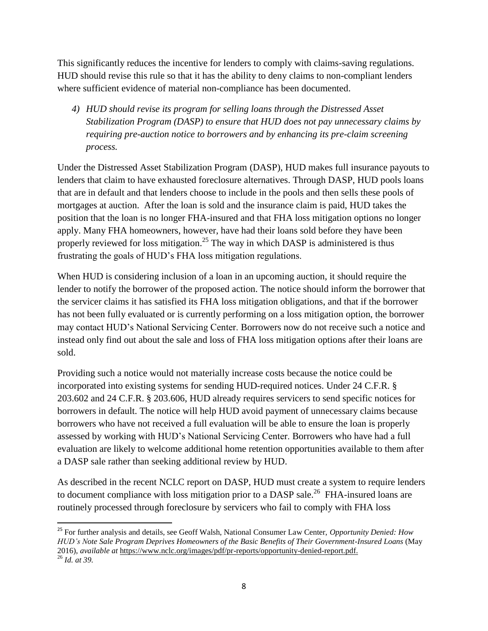This significantly reduces the incentive for lenders to comply with claims-saving regulations. HUD should revise this rule so that it has the ability to deny claims to non-compliant lenders where sufficient evidence of material non-compliance has been documented.

*4) HUD should revise its program for selling loans through the Distressed Asset Stabilization Program (DASP) to ensure that HUD does not pay unnecessary claims by requiring pre-auction notice to borrowers and by enhancing its pre-claim screening process.*

Under the Distressed Asset Stabilization Program (DASP), HUD makes full insurance payouts to lenders that claim to have exhausted foreclosure alternatives. Through DASP, HUD pools loans that are in default and that lenders choose to include in the pools and then sells these pools of mortgages at auction. After the loan is sold and the insurance claim is paid, HUD takes the position that the loan is no longer FHA-insured and that FHA loss mitigation options no longer apply. Many FHA homeowners, however, have had their loans sold before they have been properly reviewed for loss mitigation.<sup>25</sup> The way in which DASP is administered is thus frustrating the goals of HUD's FHA loss mitigation regulations.

When HUD is considering inclusion of a loan in an upcoming auction, it should require the lender to notify the borrower of the proposed action. The notice should inform the borrower that the servicer claims it has satisfied its FHA loss mitigation obligations, and that if the borrower has not been fully evaluated or is currently performing on a loss mitigation option, the borrower may contact HUD's National Servicing Center. Borrowers now do not receive such a notice and instead only find out about the sale and loss of FHA loss mitigation options after their loans are sold.

Providing such a notice would not materially increase costs because the notice could be incorporated into existing systems for sending HUD-required notices. Under 24 C.F.R. § 203.602 and 24 C.F.R. § 203.606, HUD already requires servicers to send specific notices for borrowers in default. The notice will help HUD avoid payment of unnecessary claims because borrowers who have not received a full evaluation will be able to ensure the loan is properly assessed by working with HUD's National Servicing Center. Borrowers who have had a full evaluation are likely to welcome additional home retention opportunities available to them after a DASP sale rather than seeking additional review by HUD.

As described in the recent NCLC report on DASP, HUD must create a system to require lenders to document compliance with loss mitigation prior to a DASP sale.<sup>26</sup> FHA-insured loans are routinely processed through foreclosure by servicers who fail to comply with FHA loss

 $\overline{a}$ 

<sup>25</sup> For further analysis and details, see Geoff Walsh, National Consumer Law Center, *Opportunity Denied: How HUD's Note Sale Program Deprives Homeowners of the Basic Benefits of Their Government-Insured Loans* (May 2016), *available at* [https://www.nclc.org/images/pdf/pr-reports/opportunity-denied-report.pdf.](https://www.nclc.org/images/pdf/pr-reports/opportunity-denied-report.pdf) <sup>26</sup> *Id. at 39.*